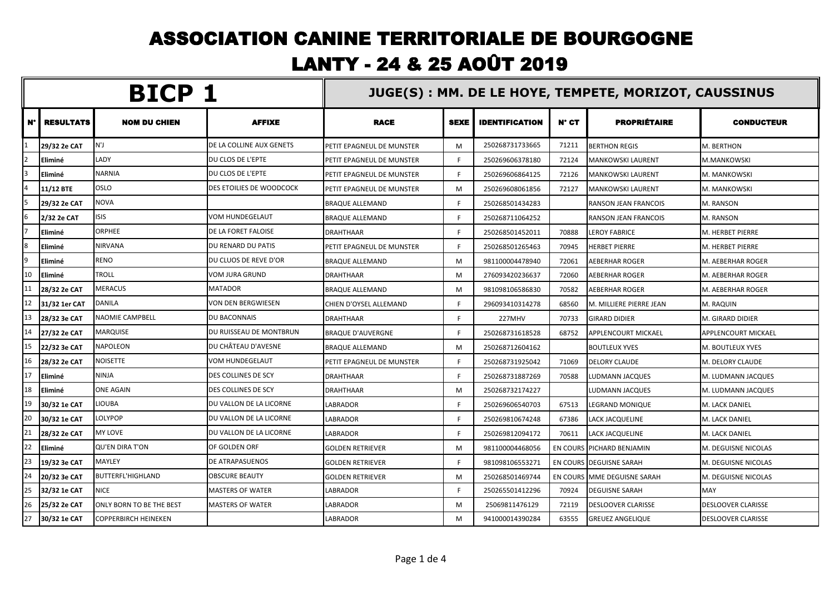## ASSOCIATION CANINE TERRITORIALE DE BOURGOGNE LANTY - 24 & 25 AOÛT 2019

| BICP 1   |                  |                             |                          |                                  | JUGE(S): MM. DE LE HOYE, TEMPETE, MORIZOT, CAUSSINUS |                       |                 |                             |                           |  |
|----------|------------------|-----------------------------|--------------------------|----------------------------------|------------------------------------------------------|-----------------------|-----------------|-----------------------------|---------------------------|--|
| N°       | <b>RESULTATS</b> | <b>NOM DU CHIEN</b>         | <b>AFFIXE</b>            | <b>RACE</b>                      | <b>SEXE</b>                                          | <b>IDENTIFICATION</b> | N° CT           | <b>PROPRIÉTAIRE</b>         | <b>CONDUCTEUR</b>         |  |
|          | 29/32 2e CAT     | N'J                         | DE LA COLLINE AUX GENETS | <b>PETIT EPAGNEUL DE MUNSTER</b> | M                                                    | 250268731733665       | 71211           | <b>BERTHON REGIS</b>        | M. BERTHON                |  |
|          | Eliminé          | LADY                        | DU CLOS DE L'EPTE        | PETIT EPAGNEUL DE MUNSTER        | F.                                                   | 250269606378180       | 72124           | MANKOWSKI LAURENT           | M.MANKOWSKI               |  |
|          | Eliminé          | <b>NARNIA</b>               | DU CLOS DE L'EPTE        | <b>PETIT EPAGNEUL DE MUNSTER</b> | F.                                                   | 250269606864125       | 72126           | MANKOWSKI LAURENT           | M. MANKOWSKI              |  |
|          | 11/12 BTE        | <b>OSLO</b>                 | DES ETOILIES DE WOODCOCK | <b>PETIT EPAGNEUL DE MUNSTER</b> | M                                                    | 250269608061856       | 72127           | MANKOWSKI LAURENT           | M. MANKOWSKI              |  |
|          | 29/32 2e CAT     | <b>NOVA</b>                 |                          | <b>BRAQUE ALLEMAND</b>           | F.                                                   | 250268501434283       |                 | <b>RANSON JEAN FRANCOIS</b> | M. RANSON                 |  |
| 6        | 2/32 2e CAT      | <b>ISIS</b>                 | <b>VOM HUNDEGELAUT</b>   | <b>BRAQUE ALLEMAND</b>           | F.                                                   | 250268711064252       |                 | RANSON JEAN FRANCOIS        | M. RANSON                 |  |
|          | Eliminé          | <b>ORPHEE</b>               | DE LA FORET FALOISE      | <b>DRAHTHAAR</b>                 | F.                                                   | 250268501452011       | 70888           | <b>LEROY FABRICE</b>        | M. HERBET PIERRE          |  |
| <b>R</b> | Eliminé          | <b>NIRVANA</b>              | DU RENARD DU PATIS       | <b>PETIT EPAGNEUL DE MUNSTER</b> | F.                                                   | 250268501265463       | 70945           | <b>HERBET PIERRE</b>        | M. HERBET PIERRE          |  |
| ۱q       | Eliminé          | <b>RENO</b>                 | DU CLUOS DE REVE D'OR    | <b>BRAQUE ALLEMAND</b>           | M                                                    | 981100004478940       | 72061           | AEBERHAR ROGER              | M. AEBERHAR ROGER         |  |
| 10       | Eliminé          | <b>TROLL</b>                | VOM JURA GRUND           | <b>DRAHTHAAR</b>                 | M                                                    | 276093420236637       | 72060           | AEBERHAR ROGER              | M. AEBERHAR ROGER         |  |
| 11       | 28/32 2e CAT     | <b>MERACUS</b>              | <b>MATADOR</b>           | <b>BRAQUE ALLEMAND</b>           | M                                                    | 981098106586830       | 70582           | <b>AEBERHAR ROGER</b>       | M. AEBERHAR ROGER         |  |
| 12       | 31/32 1er CAT    | <b>DANILA</b>               | VON DEN BERGWIESEN       | CHIEN D'OYSEL ALLEMAND           | F.                                                   | 296093410314278       | 68560           | M. MILLIERE PIERRE JEAN     | M. RAQUIN                 |  |
| 13       | 28/32 3e CAT     | <b>NAOMIE CAMPBELL</b>      | <b>DU BACONNAIS</b>      | <b>DRAHTHAAR</b>                 | F.                                                   | 227MHV                | 70733           | <b>GIRARD DIDIER</b>        | M. GIRARD DIDIER          |  |
| 14       | 27/32 2e CAT     | <b>MARQUISE</b>             | DU RUISSEAU DE MONTBRUN  | <b>BRAQUE D'AUVERGNE</b>         | F.                                                   | 250268731618528       | 68752           | APPLENCOURT MICKAEL         | APPLENCOURT MICKAEL       |  |
| 15       | 22/32 3e CAT     | <b>NAPOLEON</b>             | DU CHÂTEAU D'AVESNE      | <b>BRAQUE ALLEMAND</b>           | м                                                    | 250268712604162       |                 | <b>BOUTLEUX YVES</b>        | M. BOUTLEUX YVES          |  |
| 16       | 28/32 2e CAT     | <b>NOISETTE</b>             | VOM HUNDEGELAUT          | PETIT EPAGNEUL DE MUNSTER        | F.                                                   | 250268731925042       | 71069           | <b>DELORY CLAUDE</b>        | M. DELORY CLAUDE          |  |
| 17       | Eliminé          | <b>NINJA</b>                | DES COLLINES DE SCY      | <b>DRAHTHAAR</b>                 | F.                                                   | 250268731887269       | 70588           | LUDMANN JACQUES             | M. LUDMANN JACQUES        |  |
| 18       | Eliminé          | <b>ONE AGAIN</b>            | DES COLLINES DE SCY      | <b>DRAHTHAAR</b>                 | M                                                    | 250268732174227       |                 | LUDMANN JACQUES             | M. LUDMANN JACQUES        |  |
| 19       | 30/32 1e CAT     | <b>LIOUBA</b>               | DU VALLON DE LA LICORNE  | <b>LABRADOR</b>                  | F.                                                   | 250269606540703       | 67513           | LEGRAND MONIQUE             | M. LACK DANIEL            |  |
| 20       | 30/32 1e CAT     | <b>LOLYPOP</b>              | DU VALLON DE LA LICORNE  | <b>LABRADOR</b>                  | F.                                                   | 250269810674248       | 67386           | LACK JACQUELINE             | M. LACK DANIEL            |  |
| 21       | 28/32 2e CAT     | <b>MY LOVE</b>              | DU VALLON DE LA LICORNE  | <b>LABRADOR</b>                  | F.                                                   | 250269812094172       | 70611           | LACK JACQUELINE             | M. LACK DANIEL            |  |
| 22       | Eliminé          | <b>QU'EN DIRA T'ON</b>      | OF GOLDEN ORF            | <b>GOLDEN RETRIEVER</b>          | M                                                    | 981100004468056       | <b>EN COURS</b> | <b>PICHARD BENJAMIN</b>     | M. DEGUISNE NICOLAS       |  |
| 23       | 19/32 3e CAT     | <b>MAYLEY</b>               | <b>DE ATRAPASUENOS</b>   | <b>GOLDEN RETRIEVER</b>          | F.                                                   | 981098106553271       |                 | EN COURS DEGUISNE SARAH     | M. DEGUISNE NICOLAS       |  |
| 24       | 20/32 3e CAT     | <b>BUTTERFL'HIGHLAND</b>    | <b>OBSCURE BEAUTY</b>    | <b>GOLDEN RETRIEVER</b>          | M                                                    | 250268501469744       |                 | EN COURS MME DEGUISNE SARAH | M. DEGUISNE NICOLAS       |  |
| 25       | 32/32 1e CAT     | <b>NICE</b>                 | <b>MASTERS OF WATER</b>  | <b>LABRADOR</b>                  | F.                                                   | 250265501412296       | 70924           | <b>DEGUISNE SARAH</b>       | MAY                       |  |
| 26       | 25/32 2e CAT     | ONLY BORN TO BE THE BEST    | <b>MASTERS OF WATER</b>  | LABRADOR                         | M                                                    | 25069811476129        | 72119           | <b>DESLOOVER CLARISSE</b>   | DESLOOVER CLARISSE        |  |
| 27       | 30/32 1e CAT     | <b>COPPERBIRCH HEINEKEN</b> |                          | <b>LABRADOR</b>                  | M                                                    | 941000014390284       | 63555           | <b>GREUEZ ANGELIQUE</b>     | <b>DESLOOVER CLARISSE</b> |  |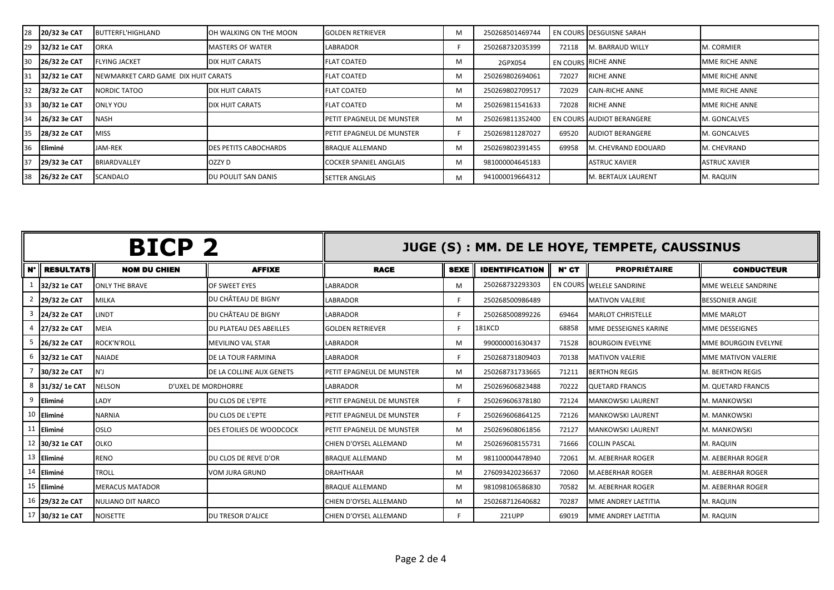|    | 20/32 3e CAT   | <b>BUTTERFL'HIGHLAND</b>            | OH WALKING ON THE MOON  | <b>GOLDEN RETRIEVER</b>       | м | 250268501469744 |       | EN COURS IDESGUISNE SARAH   |                       |
|----|----------------|-------------------------------------|-------------------------|-------------------------------|---|-----------------|-------|-----------------------------|-----------------------|
| 29 | 32/32 1e CAT   | <b>ORKA</b>                         | <b>MASTERS OF WATER</b> | <b>LABRADOR</b>               |   | 250268732035399 | 72118 | <b>M. BARRAUD WILLY</b>     | <b>M. CORMIER</b>     |
| 30 | 26/32 2e CAT   | <b>FLYING JACKET</b>                | DIX HUIT CARATS         | <b>FLAT COATED</b>            | М | 2GPX054         |       | <b>EN COURS RICHE ANNE</b>  | <b>MME RICHE ANNE</b> |
| 31 | 32/32 1e CAT   | NEWMARKET CARD GAME DIX HUIT CARATS |                         | <b>FLAT COATED</b>            | м | 250269802694061 | 72027 | <b>RICHE ANNE</b>           | <b>MME RICHE ANNE</b> |
| 32 | 28/32 2e CAT   | NORDIC TATOO                        | DIX HUIT CARATS         | <b>FLAT COATED</b>            | M | 250269802709517 | 72029 | <b>CAIN-RICHE ANNE</b>      | <b>MME RICHE ANNE</b> |
|    | 30/32 1e CAT   | <b>ONLY YOU</b>                     | DIX HUIT CARATS         | <b>FLAT COATED</b>            | м | 250269811541633 | 72028 | <b>RICHE ANNE</b>           | <b>MME RICHE ANNE</b> |
| 34 | 26/32 3e CAT   | <b>NASH</b>                         |                         | PETIT EPAGNEUL DE MUNSTER     | м | 250269811352400 |       | EN COURS AUDIOT BERANGERE   | M. GONCALVES          |
| 35 | 28/32 2e CAT   | <b>MISS</b>                         |                         | PETIT EPAGNEUL DE MUNSTER     |   | 250269811287027 | 69520 | <b>AUDIOT BERANGERE</b>     | M. GONCALVES          |
|    | <b>Eliminé</b> | JAM-REK                             | DES PETITS CABOCHARDS   | <b>BRAQUE ALLEMAND</b>        | м | 250269802391455 | 69958 | <b>IM. CHEVRAND EDOUARD</b> | <b>M. CHEVRAND</b>    |
|    | 29/32 3e CAT   | <b>BRIARDVALLEY</b>                 | OZZY D                  | <b>COCKER SPANIEL ANGLAIS</b> | M | 981000004645183 |       | <b>ASTRUC XAVIER</b>        | <b>ASTRUC XAVIER</b>  |
|    | 26/32 2e CAT   | <b>SCANDALO</b>                     | DU POULIT SAN DANIS     | <b>SETTER ANGLAIS</b>         | M | 941000019664312 |       | <b>M. BERTAUX LAURENT</b>   | M. RAQUIN             |

| BICP <sub>2</sub> |                  |                                      |                                 |                           |             |                       |                | JUGE (S) : MM. DE LE HOYE, TEMPETE, CAUSSINUS |                          |
|-------------------|------------------|--------------------------------------|---------------------------------|---------------------------|-------------|-----------------------|----------------|-----------------------------------------------|--------------------------|
| $N^{\circ}$       | <b>RESULTATS</b> | <b>NOM DU CHIEN</b>                  | <b>AFFIXE</b>                   | <b>RACE</b>               | <b>SEXE</b> | <b>IDENTIFICATION</b> | $N^{\circ}$ CT | <b>PROPRIÉTAIRE</b>                           | <b>CONDUCTEUR</b>        |
|                   | 32/32 1e CAT     | <b>ONLY THE BRAVE</b>                | OF SWEET EYES                   | <b>LABRADOR</b>           | м           | 250268732293303       |                | EN COURS WELELE SANDRINE                      | MME WELELE SANDRINE      |
|                   | 29/32 2e CAT     | <b>MILKA</b>                         | DU CHÂTEAU DE BIGNY             | LABRADOR                  |             | 250268500986489       |                | <b>IMATIVON VALERIE</b>                       | <b>BESSONIER ANGIE</b>   |
|                   | 24/32 2e CAT     | LINDT                                | DU CHÂTEAU DE BIGNY             | <b>LABRADOR</b>           |             | 250268500899226       | 69464          | <b>IMARLOT CHRISTELLE</b>                     | <b>MME MARLOT</b>        |
|                   | 27/32 2e CAT     | <b>MEIA</b>                          | DU PLATEAU DES ABEILLES         | <b>GOLDEN RETRIEVER</b>   |             | 181KCD                | 68858          | <b>IMME DESSEIGNES KARINE</b>                 | <b>MME DESSEIGNES</b>    |
|                   | 26/32 2e CAT     | <b>ROCK'N'ROLL</b>                   | <b>MEVILINO VAL STAR</b>        | LABRADOR                  | м           | 990000001630437       | 71528          | <b>BOURGOIN EVELYNE</b>                       | MME BOURGOIN EVELYNE     |
|                   | 6 32/32 1e CAT   | <b>NAIADE</b>                        | <b>DE LA TOUR FARMINA</b>       | <b>LABRADOR</b>           |             | 250268731809403       | 70138          | <b>IMATIVON VALERIE</b>                       | MME MATIVON VALERIE      |
|                   | 30/32 2e CAT     | N'J                                  | DE LA COLLINE AUX GENETS        | PETIT EPAGNEUL DE MUNSTER | м           | 250268731733665       | 71211          | <b>BERTHON REGIS</b>                          | <b>M. BERTHON REGIS</b>  |
|                   | 8 31/32/1e CAT   | <b>NELSON</b><br>D'UXEL DE MORDHORRE |                                 | <b>LABRADOR</b>           | м           | 250269606823488       | 70222          | <b>QUETARD FRANCIS</b>                        | M. QUETARD FRANCIS       |
|                   | 9 Eliminé        | LADY                                 | DU CLOS DE L'EPTE               | PETIT EPAGNEUL DE MUNSTER |             | 250269606378180       | 72124          | <b>IMANKOWSKI LAURENT</b>                     | <b>M. MANKOWSKI</b>      |
|                   | 10 Eliminé       | <b>NARNIA</b>                        | DU CLOS DE L'EPTE               | PETIT EPAGNEUL DE MUNSTER |             | 250269606864125       | 72126          | MANKOWSKI LAURENT                             | M. MANKOWSKI             |
|                   | 11 Eliminé       | <b>OSLO</b>                          | <b>DES ETOILIES DE WOODCOCK</b> | PETIT EPAGNEUL DE MUNSTER | м           | 250269608061856       | 72127          | <b>MANKOWSKI LAURENT</b>                      | M. MANKOWSKI             |
|                   | 12 30/32 1e CAT  | <b>OLKO</b>                          |                                 | CHIEN D'OYSEL ALLEMAND    | м           | 250269608155731       | 71666          | <b>COLLIN PASCAL</b>                          | M. RAQUIN                |
|                   | 13 Eliminé       | <b>RENO</b>                          | DU CLOS DE REVE D'OR            | <b>BRAQUE ALLEMAND</b>    | м           | 981100004478940       | 72061          | M. AEBERHAR ROGER                             | M. AEBERHAR ROGER        |
|                   | 14 Eliminé       | <b>TROLL</b>                         | <b>VOM JURA GRUND</b>           | <b>DRAHTHAAR</b>          | м           | 276093420236637       | 72060          | <b>M.AEBERHAR ROGER</b>                       | <b>M. AEBERHAR ROGER</b> |
|                   | 15 Eliminé       | <b>MERACUS MATADOR</b>               |                                 | <b>BRAQUE ALLEMAND</b>    | м           | 981098106586830       | 70582          | M. AEBERHAR ROGER                             | M. AEBERHAR ROGER        |
|                   | 16 29/32 2e CAT  | NULIANO DIT NARCO                    |                                 | CHIEN D'OYSEL ALLEMAND    | м           | 250268712640682       | 70287          | <b>MME ANDREY LAETITIA</b>                    | M. RAQUIN                |
|                   | 17 30/32 1e CAT  | <b>NOISETTE</b>                      | <b>DU TRESOR D'ALICE</b>        | CHIEN D'OYSEL ALLEMAND    |             | 221UPP                | 69019          | MME ANDREY LAETITIA                           | M. RAQUIN                |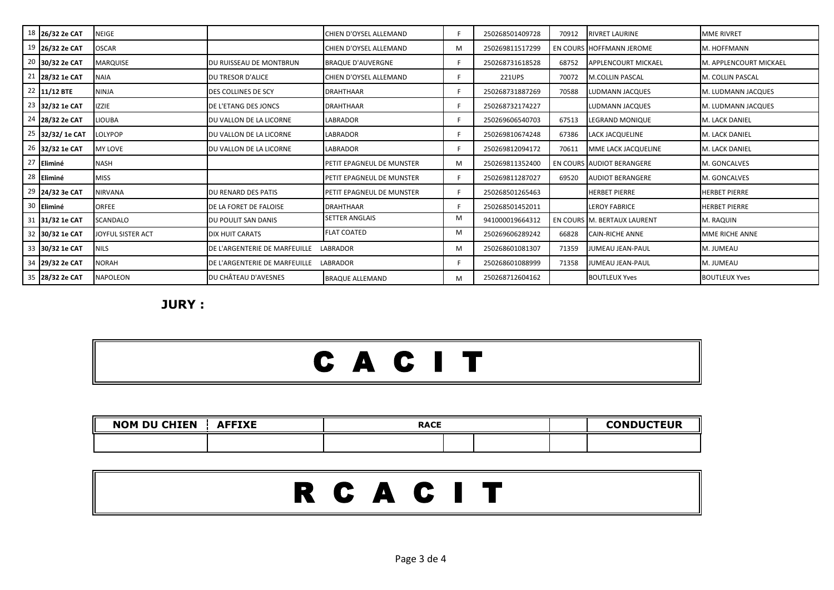| 18 26/32 2e CAT | NEIGE             |                                        | CHIEN D'OYSEL ALLEMAND    |   | 250268501409728 | 70912 | <b>RIVRET LAURINE</b>               | <b>MME RIVRET</b>      |
|-----------------|-------------------|----------------------------------------|---------------------------|---|-----------------|-------|-------------------------------------|------------------------|
| 19 26/32 2e CAT | <b>OSCAR</b>      |                                        | CHIEN D'OYSEL ALLEMAND    | M | 250269811517299 |       | EN COURS HOFFMANN JEROME            | M. HOFFMANN            |
| 20 30/32 2e CAT | <b>MARQUISE</b>   | DU RUISSEAU DE MONTBRUN                | <b>BRAQUE D'AUVERGNE</b>  |   | 250268731618528 | 68752 | <b>APPLENCOURT MICKAEL</b>          | M. APPLENCOURT MICKAEL |
| 21 28/32 1e CAT | <b>NAIA</b>       | DU TRESOR D'ALICE                      | CHIEN D'OYSEL ALLEMAND    |   | 221UPS          | 70072 | <b>M.COLLIN PASCAL</b>              | M. COLLIN PASCAL       |
| 22 11/12 BTE    | <b>NINJA</b>      | DES COLLINES DE SCY                    | <b>DRAHTHAAR</b>          |   | 250268731887269 | 70588 | LUDMANN JACQUES                     | M. LUDMANN JACQUES     |
| 23 32/32 1e CAT | <b>IZZIE</b>      | DE L'ETANG DES JONCS                   | <b>DRAHTHAAR</b>          |   | 250268732174227 |       | LUDMANN JACQUES                     | M. LUDMANN JACQUES     |
| 24 28/32 2e CAT | <b>LIOUBA</b>     | <b>JOU VALLON DE LA LICORNE</b>        | LABRADOR                  |   | 250269606540703 | 67513 | LEGRAND MONIQUE                     | M. LACK DANIEL         |
| 25 32/32/1e CAT | <b>LOLYPOP</b>    | DU VALLON DE LA LICORNE                | LABRADOR                  |   | 250269810674248 | 67386 | <b>LACK JACQUELINE</b>              | M. LACK DANIEL         |
| 26 32/32 1e CAT | <b>MY LOVE</b>    | DU VALLON DE LA LICORNE                | LABRADOR                  |   | 250269812094172 | 70611 | MME LACK JACQUELINE                 | M. LACK DANIEL         |
| 27 Eliminé      | <b>NASH</b>       |                                        | PETIT EPAGNEUL DE MUNSTER | M | 250269811352400 |       | EN COURS AUDIOT BERANGERE           | M. GONCALVES           |
| 28 Eliminé      | <b>MISS</b>       |                                        | PETIT EPAGNEUL DE MUNSTER |   | 250269811287027 | 69520 | <b>AUDIOT BERANGERE</b>             | M. GONCALVES           |
| 29 24/32 3e CAT | <b>NIRVANA</b>    | DU RENARD DES PATIS                    | PETIT EPAGNEUL DE MUNSTER |   | 250268501265463 |       | <b>HERBET PIERRE</b>                | <b>HERBET PIERRE</b>   |
| 30 Eliminé      | <b>ORFEE</b>      | DE LA FORET DE FALOISE                 | <b>DRAHTHAAR</b>          |   | 250268501452011 |       | <b>ILEROY FABRICE</b>               | <b>HERBET PIERRE</b>   |
| 31 31/32 1e CAT | <b>SCANDALO</b>   | DU POULIT SAN DANIS                    | <b>SETTER ANGLAIS</b>     | M | 941000019664312 |       | EN COURS <b>IM. BERTAUX LAURENT</b> | M. RAQUIN              |
| 32 30/32 1e CAT | JOYFUL SISTER ACT | <b>DIX HUIT CARATS</b>                 | <b>FLAT COATED</b>        | M | 250269606289242 | 66828 | <b>CAIN-RICHE ANNE</b>              | MME RICHE ANNE         |
| 33 30/32 1e CAT | <b>NILS</b>       | DE L'ARGENTERIE DE MARFEUILLE          | LABRADOR                  | M | 250268601081307 | 71359 | JUMEAU JEAN-PAUL                    | M. JUMEAU              |
| 34 29/32 2e CAT | <b>NORAH</b>      | DE L'ARGENTERIE DE MARFEUILLE LABRADOR |                           |   | 250268601088999 | 71358 | JUMEAU JEAN-PAUL                    | M. JUMEAU              |
| 35 28/32 2e CAT | <b>NAPOLEON</b>   | DU CHÂTEAU D'AVESNES                   | <b>BRAQUE ALLEMAND</b>    | M | 250268712604162 |       | <b>BOUTLEUX Yves</b>                | <b>BOUTLEUX Yves</b>   |

**JURY :**

## C A C I T

| <b>NOM DU CHIEN</b> | <b>AFFIXE</b> | <b>RACE</b> | <b>CONDUCTEUR</b> |  |  |
|---------------------|---------------|-------------|-------------------|--|--|
|                     |               |             |                   |  |  |

|--|